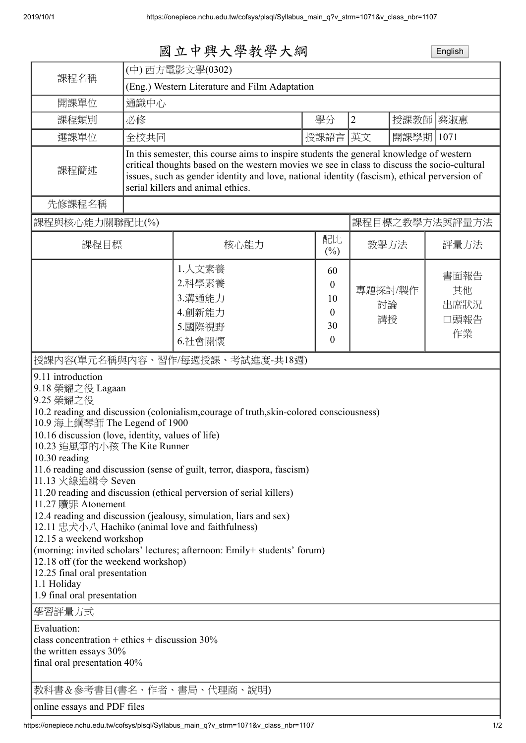| 國立中興大學教學大綱                                                                                                                                                                                                                                                                                                                                                                                                                                                                                                                                                                                                                                                                                                                                                                                                                                                                                                                                                  |                                                                                                                                                                                                                                                                                                                             |                                                          |                                                                |                     |      | English                          |
|-------------------------------------------------------------------------------------------------------------------------------------------------------------------------------------------------------------------------------------------------------------------------------------------------------------------------------------------------------------------------------------------------------------------------------------------------------------------------------------------------------------------------------------------------------------------------------------------------------------------------------------------------------------------------------------------------------------------------------------------------------------------------------------------------------------------------------------------------------------------------------------------------------------------------------------------------------------|-----------------------------------------------------------------------------------------------------------------------------------------------------------------------------------------------------------------------------------------------------------------------------------------------------------------------------|----------------------------------------------------------|----------------------------------------------------------------|---------------------|------|----------------------------------|
| (中)西方電影文學(0302)                                                                                                                                                                                                                                                                                                                                                                                                                                                                                                                                                                                                                                                                                                                                                                                                                                                                                                                                             |                                                                                                                                                                                                                                                                                                                             |                                                          |                                                                |                     |      |                                  |
| 課程名稱                                                                                                                                                                                                                                                                                                                                                                                                                                                                                                                                                                                                                                                                                                                                                                                                                                                                                                                                                        | (Eng.) Western Literature and Film Adaptation                                                                                                                                                                                                                                                                               |                                                          |                                                                |                     |      |                                  |
| 開課單位                                                                                                                                                                                                                                                                                                                                                                                                                                                                                                                                                                                                                                                                                                                                                                                                                                                                                                                                                        | 通識中心                                                                                                                                                                                                                                                                                                                        |                                                          |                                                                |                     |      |                                  |
| 課程類別                                                                                                                                                                                                                                                                                                                                                                                                                                                                                                                                                                                                                                                                                                                                                                                                                                                                                                                                                        | 必修<br>學分                                                                                                                                                                                                                                                                                                                    |                                                          |                                                                | $\overline{2}$      | 授課教師 | 蔡淑惠                              |
| 選課單位                                                                                                                                                                                                                                                                                                                                                                                                                                                                                                                                                                                                                                                                                                                                                                                                                                                                                                                                                        | 全校共同<br>授課語言                                                                                                                                                                                                                                                                                                                |                                                          |                                                                | 英文                  | 開課學期 | 1071                             |
| 課程簡述                                                                                                                                                                                                                                                                                                                                                                                                                                                                                                                                                                                                                                                                                                                                                                                                                                                                                                                                                        | In this semester, this course aims to inspire students the general knowledge of western<br>critical thoughts based on the western movies we see in class to discuss the socio-cultural<br>issues, such as gender identity and love, national identity (fascism), ethical perversion of<br>serial killers and animal ethics. |                                                          |                                                                |                     |      |                                  |
| 先修課程名稱                                                                                                                                                                                                                                                                                                                                                                                                                                                                                                                                                                                                                                                                                                                                                                                                                                                                                                                                                      |                                                                                                                                                                                                                                                                                                                             |                                                          |                                                                |                     |      |                                  |
| 課程與核心能力關聯配比(%)                                                                                                                                                                                                                                                                                                                                                                                                                                                                                                                                                                                                                                                                                                                                                                                                                                                                                                                                              |                                                                                                                                                                                                                                                                                                                             |                                                          |                                                                | 課程目標之教學方法與評量方法      |      |                                  |
| 課程目標                                                                                                                                                                                                                                                                                                                                                                                                                                                                                                                                                                                                                                                                                                                                                                                                                                                                                                                                                        |                                                                                                                                                                                                                                                                                                                             | 核心能力                                                     | 配比<br>$(\% )$                                                  | 教學方法                |      | 評量方法                             |
|                                                                                                                                                                                                                                                                                                                                                                                                                                                                                                                                                                                                                                                                                                                                                                                                                                                                                                                                                             |                                                                                                                                                                                                                                                                                                                             | 1.人文素養<br>2.科學素養<br>3.溝通能力<br>4.創新能力<br>5.國際視野<br>6.社會關懷 | 60<br>$\boldsymbol{0}$<br>10<br>$\mathbf{0}$<br>30<br>$\theta$ | 專題探討/製作<br>討論<br>講授 |      | 書面報告<br>其他<br>出席狀況<br>口頭報告<br>作業 |
| 9.18 榮耀之役 Lagaan<br>9.25 榮耀之役<br>10.2 reading and discussion (colonialism, courage of truth, skin-colored consciousness)<br>10.9 海上鋼琴師 The Legend of 1900<br>10.16 discussion (love, identity, values of life)<br>10.23 追風箏的小孩 The Kite Runner<br>10.30 reading<br>11.6 reading and discussion (sense of guilt, terror, diaspora, fascism)<br>11.13 火線追緝令 Seven<br>11.20 reading and discussion (ethical perversion of serial killers)<br>11.27 贖罪 Atonement<br>12.4 reading and discussion (jealousy, simulation, liars and sex)<br>12.11 忠犬小八 Hachiko (animal love and faithfulness)<br>12.15 a weekend workshop<br>(morning: invited scholars' lectures; afternoon: Emily+ students' forum)<br>12.18 off (for the weekend workshop)<br>12.25 final oral presentation<br>1.1 Holiday<br>1.9 final oral presentation<br>學習評量方式<br>Evaluation:<br>class concentration + ethics + discussion $30\%$<br>the written essays 30%<br>final oral presentation 40% |                                                                                                                                                                                                                                                                                                                             |                                                          |                                                                |                     |      |                                  |
| 教科書&參考書目(書名、作者、書局、代理商、說明)                                                                                                                                                                                                                                                                                                                                                                                                                                                                                                                                                                                                                                                                                                                                                                                                                                                                                                                                   |                                                                                                                                                                                                                                                                                                                             |                                                          |                                                                |                     |      |                                  |
| online essays and PDF files                                                                                                                                                                                                                                                                                                                                                                                                                                                                                                                                                                                                                                                                                                                                                                                                                                                                                                                                 |                                                                                                                                                                                                                                                                                                                             |                                                          |                                                                |                     |      |                                  |